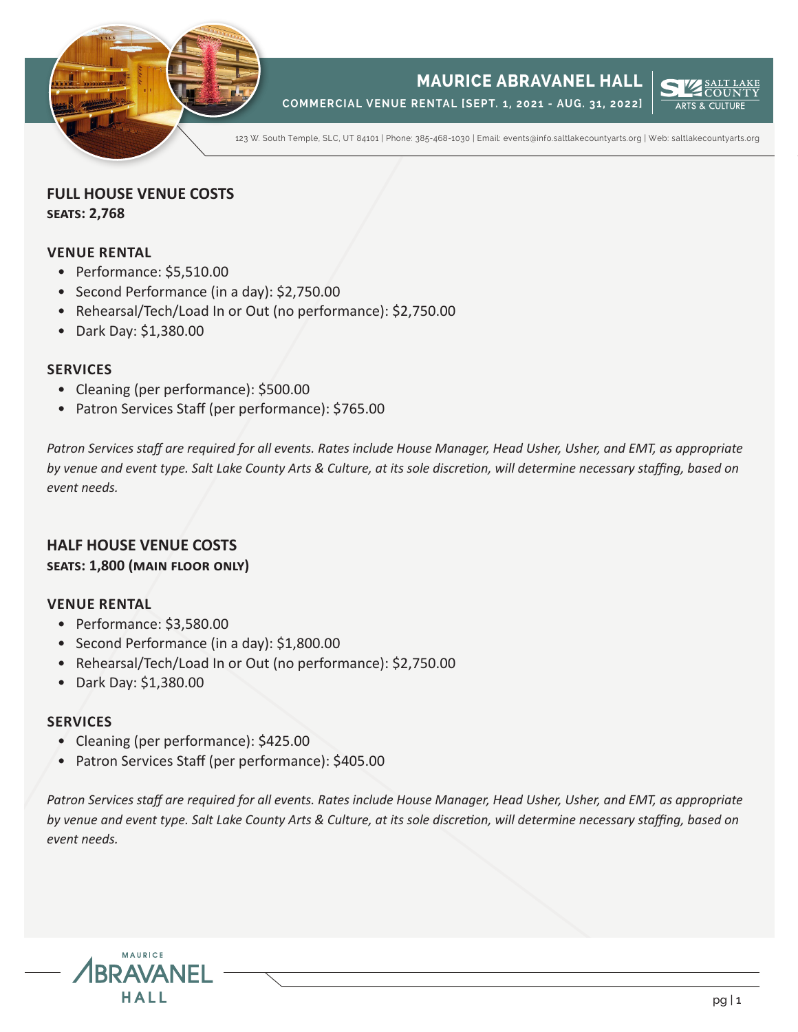

**COMMERCIAL VENUE RENTAL [SEPT. 1, 2021 - AUG. 31, 2022]**



123 W. South Temple, SLC, UT 84101 | Phone: 385-468-1030 | Email: events@info.saltlakecountyarts.org | Web: saltlakecountyarts.org

### **FULL HOUSE VENUE COSTS seats: 2,768**

### **VENUE RENTAL**

- Performance: \$5,510.00
- Second Performance (in a day): \$2,750.00
- Rehearsal/Tech/Load In or Out (no performance): \$2,750.00
- Dark Day: \$1,380.00

### **SERVICES**

- Cleaning (per performance): \$500.00
- Patron Services Staff (per performance): \$765.00

*Patron Services staff are required for all events. Rates include House Manager, Head Usher, Usher, and EMT, as appropriate by venue and event type. Salt Lake County Arts & Culture, at its sole discretion, will determine necessary staffing, based on event needs.*

# **HALF HOUSE VENUE COSTS**

### **seats: 1,800 (main floor only)**

### **VENUE RENTAL**

- Performance: \$3,580.00
- Second Performance (in a day): \$1,800.00
- Rehearsal/Tech/Load In or Out (no performance): \$2,750.00
- Dark Day: \$1,380.00

### **SERVICES**

- Cleaning (per performance): \$425.00
- Patron Services Staff (per performance): \$405.00

*Patron Services staff are required for all events. Rates include House Manager, Head Usher, Usher, and EMT, as appropriate by venue and event type. Salt Lake County Arts & Culture, at its sole discretion, will determine necessary staffing, based on event needs.*

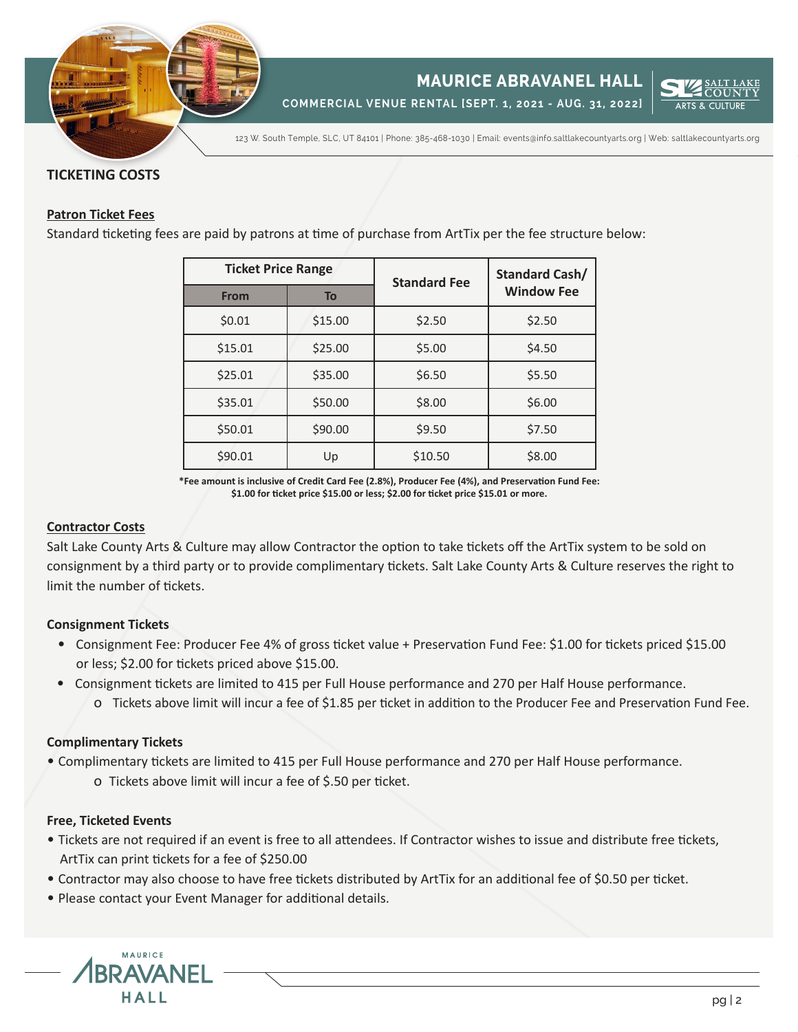

**COMMERCIAL VENUE RENTAL [SEPT. 1, 2021 - AUG. 31, 2022]**



123 W. South Temple, SLC, UT 84101 | Phone: 385-468-1030 | Email: events@info.saltlakecountyarts.org | Web: saltlakecountyarts.org

### **TICKETING COSTS**

### **Patron Ticket Fees**

Standard ticketing fees are paid by patrons at time of purchase from ArtTix per the fee structure below:

| <b>Ticket Price Range</b> |         | <b>Standard Fee</b> | <b>Standard Cash/</b> |
|---------------------------|---------|---------------------|-----------------------|
| <b>From</b>               | To      |                     | <b>Window Fee</b>     |
| \$0.01                    | \$15.00 | \$2.50              | \$2.50                |
| \$15.01                   | \$25.00 | \$5.00              | \$4.50                |
| \$25.01                   | \$35.00 | \$6.50              | \$5.50                |
| \$35.01                   | \$50.00 | \$8.00              | \$6.00                |
| \$50.01                   | \$90.00 | \$9.50              | \$7.50                |
| \$90.01                   | Up      | \$10.50             | \$8.00                |

**\*Fee amount is inclusive of Credit Card Fee (2.8%), Producer Fee (4%), and Preservation Fund Fee: \$1.00 for ticket price \$15.00 or less; \$2.00 for ticket price \$15.01 or more.**

### **Contractor Costs**

Salt Lake County Arts & Culture may allow Contractor the option to take tickets off the ArtTix system to be sold on consignment by a third party or to provide complimentary tickets. Salt Lake County Arts & Culture reserves the right to limit the number of tickets.

### **Consignment Tickets**

- Consignment Fee: Producer Fee 4% of gross ticket value + Preservation Fund Fee: \$1.00 for tickets priced \$15.00 or less; \$2.00 for tickets priced above \$15.00.
- Consignment tickets are limited to 415 per Full House performance and 270 per Half House performance. o Tickets above limit will incur a fee of \$1.85 per ticket in addition to the Producer Fee and Preservation Fund Fee.

### **Complimentary Tickets**

• Complimentary tickets are limited to 415 per Full House performance and 270 per Half House performance.

o Tickets above limit will incur a fee of \$.50 per ticket.

### **Free, Ticketed Events**

- Tickets are not required if an event is free to all attendees. If Contractor wishes to issue and distribute free tickets, ArtTix can print tickets for a fee of \$250.00
- Contractor may also choose to have free tickets distributed by ArtTix for an additional fee of \$0.50 per ticket.
- Please contact your Event Manager for additional details.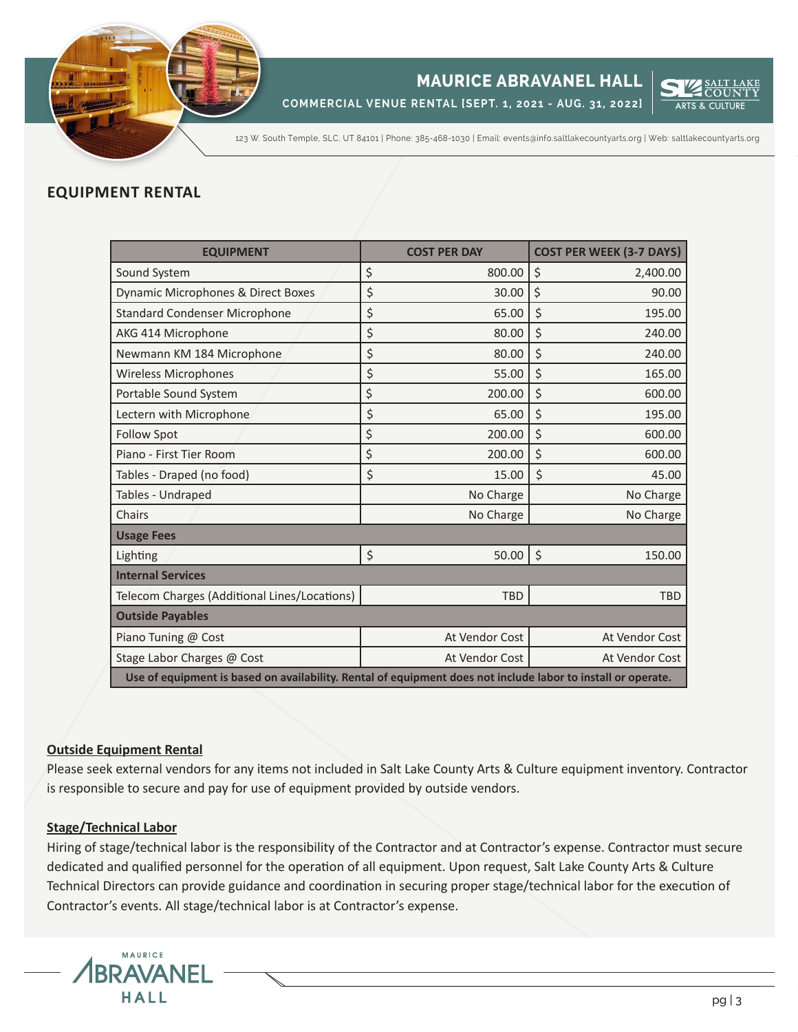

**COMMERCIAL VENUE RENTAL [SEPT. 1, 2021 - AUG. 31, 2022]**



123 W. South Temple, SLC, UT 84101 | Phone: 385-468-1030 | Email: events@info.saltlakecountyarts.org | Web: saltlakecountyarts.org

### **EQUIPMENT RENTAL**

| <b>EQUIPMENT</b>                                                                                             |         | <b>COST PER DAY</b> | <b>COST PER WEEK (3-7 DAYS)</b> |  |  |
|--------------------------------------------------------------------------------------------------------------|---------|---------------------|---------------------------------|--|--|
| Sound System                                                                                                 |         | 800.00              | \$<br>2,400.00                  |  |  |
| Dynamic Microphones & Direct Boxes                                                                           |         | 30.00               | \$<br>90.00                     |  |  |
| <b>Standard Condenser Microphone</b>                                                                         | \$      | 65.00               | \$<br>195.00                    |  |  |
| AKG 414 Microphone                                                                                           | \$      | 80.00               | \$<br>240.00                    |  |  |
| Newmann KM 184 Microphone                                                                                    | \$      | 80.00               | \$<br>240.00                    |  |  |
| <b>Wireless Microphones</b>                                                                                  | \$      | 55.00               | \$<br>165.00                    |  |  |
| Portable Sound System                                                                                        |         | 200.00              | \$<br>600.00                    |  |  |
| Lectern with Microphone                                                                                      | \$      | 65.00               | \$<br>195.00                    |  |  |
| <b>Follow Spot</b>                                                                                           | \$      | 200.00              | \$<br>600.00                    |  |  |
| Piano - First Tier Room                                                                                      | \$      | 200.00              | \$<br>600.00                    |  |  |
| Tables - Draped (no food)                                                                                    | $\zeta$ | 15.00               | \$<br>45.00                     |  |  |
| Tables - Undraped                                                                                            |         | No Charge           | No Charge                       |  |  |
| Chairs                                                                                                       |         | No Charge           | No Charge                       |  |  |
| <b>Usage Fees</b>                                                                                            |         |                     |                                 |  |  |
| Lighting                                                                                                     | \$      | 50.00               | \$<br>150.00                    |  |  |
| <b>Internal Services</b>                                                                                     |         |                     |                                 |  |  |
| Telecom Charges (Additional Lines/Locations)                                                                 |         | <b>TBD</b>          | <b>TBD</b>                      |  |  |
| <b>Outside Payables</b>                                                                                      |         |                     |                                 |  |  |
| Piano Tuning @ Cost                                                                                          |         | At Vendor Cost      | At Vendor Cost                  |  |  |
| Stage Labor Charges @ Cost                                                                                   |         | At Vendor Cost      | At Vendor Cost                  |  |  |
| Use of equipment is based on availability. Rental of equipment does not include labor to install or operate. |         |                     |                                 |  |  |

### **Outside Equipment Rental**

Please seek external vendors for any items not included in Salt Lake County Arts & Culture equipment inventory. Contractor is responsible to secure and pay for use of equipment provided by outside vendors.

### **Stage/Technical Labor**

Hiring of stage/technical labor is the responsibility of the Contractor and at Contractor's expense. Contractor must secure dedicated and qualified personnel for the operation of all equipment. Upon request, Salt Lake County Arts & Culture Technical Directors can provide guidance and coordination in securing proper stage/technical labor for the execution of Contractor's events. All stage/technical labor is at Contractor's expense.